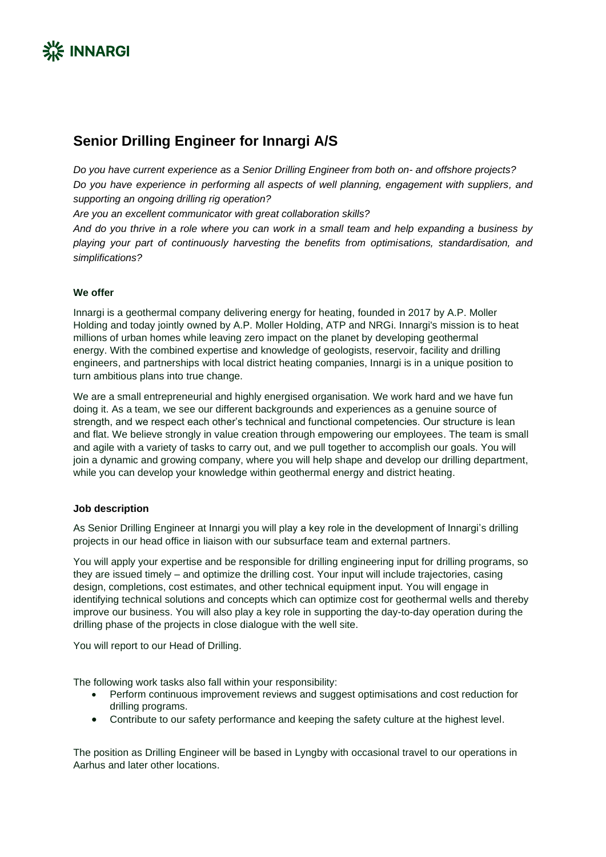

# **Senior Drilling Engineer for Innargi A/S**

*Do you have current experience as a Senior Drilling Engineer from both on- and offshore projects? Do you have experience in performing all aspects of well planning, engagement with suppliers, and supporting an ongoing drilling rig operation?*

*Are you an excellent communicator with great collaboration skills?*

*And do you thrive in a role where you can work in a small team and help expanding a business by playing your part of continuously harvesting the benefits from optimisations, standardisation, and simplifications?*

# **We offer**

Innargi is a geothermal company delivering energy for heating, founded in 2017 by A.P. Moller Holding and today jointly owned by A.P. Moller Holding, ATP and NRGi. Innargi's mission is to heat millions of urban homes while leaving zero impact on the planet by developing geothermal energy. With the combined expertise and knowledge of geologists, reservoir, facility and drilling engineers, and partnerships with local district heating companies, Innargi is in a unique position to turn ambitious plans into true change.

We are a small entrepreneurial and highly energised organisation. We work hard and we have fun doing it. As a team, we see our different backgrounds and experiences as a genuine source of strength, and we respect each other's technical and functional competencies. Our structure is lean and flat. We believe strongly in value creation through empowering our employees. The team is small and agile with a variety of tasks to carry out, and we pull together to accomplish our goals. You will join a dynamic and growing company, where you will help shape and develop our drilling department, while you can develop your knowledge within geothermal energy and district heating.

# **Job description**

As Senior Drilling Engineer at Innargi you will play a key role in the development of Innargi's drilling projects in our head office in liaison with our subsurface team and external partners.

You will apply your expertise and be responsible for drilling engineering input for drilling programs, so they are issued timely – and optimize the drilling cost. Your input will include trajectories, casing design, completions, cost estimates, and other technical equipment input. You will engage in identifying technical solutions and concepts which can optimize cost for geothermal wells and thereby improve our business. You will also play a key role in supporting the day-to-day operation during the drilling phase of the projects in close dialogue with the well site.

You will report to our Head of Drilling.

The following work tasks also fall within your responsibility:

- Perform continuous improvement reviews and suggest optimisations and cost reduction for drilling programs.
- Contribute to our safety performance and keeping the safety culture at the highest level.

The position as Drilling Engineer will be based in Lyngby with occasional travel to our operations in Aarhus and later other locations.